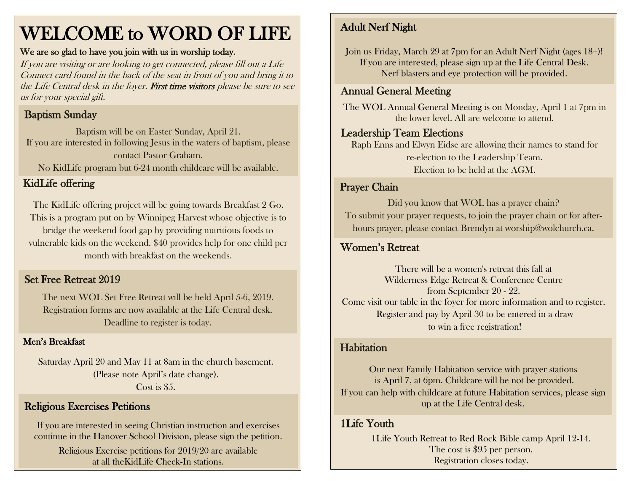## WELCOME to WORD OF LIFE

#### We are so glad to have you join with us in worship today.

If you are visiting or are looking to get connected, please fill out a Life Connect card found in the back of the seat in front of you and bring it to the Life Central desk in the foyer. First time visitors please be sure to see us for your special gift.

## Baptism Sunday

Baptism will be on Easter Sunday, April 21. If you are interested in following Jesus in the waters of baptism, please contact Pastor Graham.

No KidLife program but 6-24 month childcare will be available.

## KidLife offering

The KidLife offering project will be going towards Breakfast 2 Go. This is a program put on by Winnipeg Harvest whose objective is to bridge the weekend food gap by providing nutritious foods to vulnerable kids on the weekend. \$40 provides help for one child per month with breakfast on the weekends.

### Set Free Retreat 2019

The next WOL Set Free Retreat will be held April 5-6, 2019. Registration forms are now available at the Life Central desk. Deadline to register is today.

#### Men's Breakfast

Saturday April 20 and May 11 at 8am in the church basement. (Please note April's date change). Cost is \$5.

## Religious Exercises Petitions

If you are interested in seeing Christian instruction and exercises continue in the Hanover School Division, please sign the petition.

Religious Exercise petitions for 2019/20 are available at all theKidLife Check-In stations.

## Adult Nerf Night

Join us Friday, March 29 at 7pm for an Adult Nerf Night (ages 18+)! If you are interested, please sign up at the Life Central Desk. Nerf blasters and eye protection will be provided.

## Annual General Meeting

The WOL Annual General Meeting is on Monday, April 1 at 7pm in the lower level. All are welcome to attend.

#### Leadership Team Elections

Raph Enns and Elwyn Eidse are allowing their names to stand for re-election to the Leadership Team. Election to be held at the AGM.

#### Prayer Chain

Did you know that WOL has a prayer chain? To submit your prayer requests, to join the prayer chain or for afterhours prayer, please contact Brendyn at worship@wolchurch.ca.

## Women's Retreat

There will be a women's retreat this fall at Wilderness Edge Retreat & Conference Centre from September 20 - 22. Come visit our table in the foyer for more information and to register. Register and pay by April 30 to be entered in a draw to win a free registration!

#### **Habitation**

Our next Family Habitation service with prayer stations is April 7, at 6pm. Childcare will be not be provided. If you can help with childcare at future Habitation services, please sign up at the Life Central desk.

## 1Life Youth

1Life Youth Retreat to Red Rock Bible camp April 12-14. The cost is \$95 per person. Registration closes today.